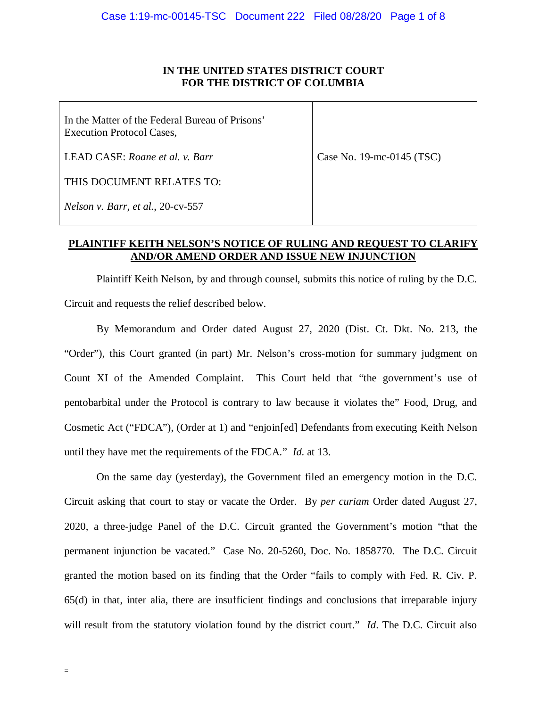# **IN THE UNITED STATES DISTRICT COURT FOR THE DISTRICT OF COLUMBIA**

| In the Matter of the Federal Bureau of Prisons'<br><b>Execution Protocol Cases,</b> |                              |
|-------------------------------------------------------------------------------------|------------------------------|
| LEAD CASE: Roane et al. v. Barr                                                     | Case No. $19$ -mc-0145 (TSC) |
| THIS DOCUMENT RELATES TO:                                                           |                              |
| Nelson v. Barr, et al., 20-cv-557                                                   |                              |

## **PLAINTIFF KEITH NELSON'S NOTICE OF RULING AND REQUEST TO CLARIFY AND/OR AMEND ORDER AND ISSUE NEW INJUNCTION**

Plaintiff Keith Nelson, by and through counsel, submits this notice of ruling by the D.C. Circuit and requests the relief described below.

By Memorandum and Order dated August 27, 2020 (Dist. Ct. Dkt. No. 213, the "Order"), this Court granted (in part) Mr. Nelson's cross-motion for summary judgment on Count XI of the Amended Complaint. This Court held that "the government's use of pentobarbital under the Protocol is contrary to law because it violates the" Food, Drug, and Cosmetic Act ("FDCA"), (Order at 1) and "enjoin[ed] Defendants from executing Keith Nelson until they have met the requirements of the FDCA." *Id*. at 13.

On the same day (yesterday), the Government filed an emergency motion in the D.C. Circuit asking that court to stay or vacate the Order. By *per curiam* Order dated August 27, 2020, a three-judge Panel of the D.C. Circuit granted the Government's motion "that the permanent injunction be vacated." Case No. 20-5260, Doc. No. 1858770. The D.C. Circuit granted the motion based on its finding that the Order "fails to comply with Fed. R. Civ. P. 65(d) in that, inter alia, there are insufficient findings and conclusions that irreparable injury will result from the statutory violation found by the district court." *Id*. The D.C. Circuit also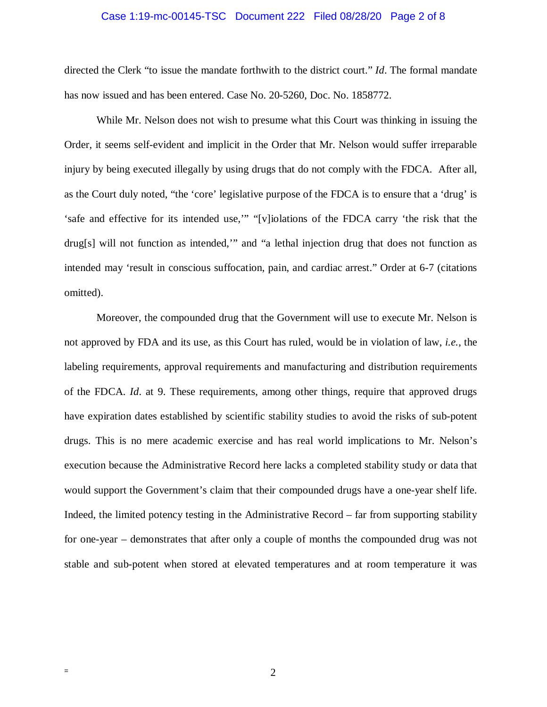#### Case 1:19-mc-00145-TSC Document 222 Filed 08/28/20 Page 2 of 8

directed the Clerk "to issue the mandate forthwith to the district court." *Id*. The formal mandate has now issued and has been entered. Case No. 20-5260, Doc. No. 1858772.

While Mr. Nelson does not wish to presume what this Court was thinking in issuing the Order, it seems self-evident and implicit in the Order that Mr. Nelson would suffer irreparable injury by being executed illegally by using drugs that do not comply with the FDCA. After all, as the Court duly noted, "the 'core' legislative purpose of the FDCA is to ensure that a 'drug' is 'safe and effective for its intended use,'" "[v]iolations of the FDCA carry 'the risk that the drug[s] will not function as intended,'" and "a lethal injection drug that does not function as intended may 'result in conscious suffocation, pain, and cardiac arrest." Order at 6-7 (citations omitted).

Moreover, the compounded drug that the Government will use to execute Mr. Nelson is not approved by FDA and its use, as this Court has ruled, would be in violation of law, *i.e.*, the labeling requirements, approval requirements and manufacturing and distribution requirements of the FDCA. *Id*. at 9. These requirements, among other things, require that approved drugs have expiration dates established by scientific stability studies to avoid the risks of sub-potent drugs. This is no mere academic exercise and has real world implications to Mr. Nelson's execution because the Administrative Record here lacks a completed stability study or data that would support the Government's claim that their compounded drugs have a one-year shelf life. Indeed, the limited potency testing in the Administrative Record – far from supporting stability for one-year – demonstrates that after only a couple of months the compounded drug was not stable and sub-potent when stored at elevated temperatures and at room temperature it was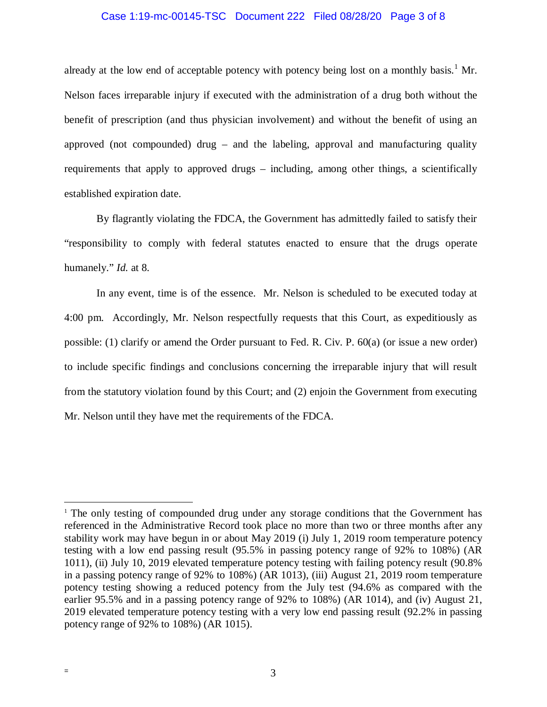### Case 1:19-mc-00145-TSC Document 222 Filed 08/28/20 Page 3 of 8

already at the low end of acceptable potency with potency being lost on a monthly basis.<sup>1</sup> Mr. Nelson faces irreparable injury if executed with the administration of a drug both without the benefit of prescription (and thus physician involvement) and without the benefit of using an approved (not compounded) drug – and the labeling, approval and manufacturing quality requirements that apply to approved drugs – including, among other things, a scientifically established expiration date.

By flagrantly violating the FDCA, the Government has admittedly failed to satisfy their "responsibility to comply with federal statutes enacted to ensure that the drugs operate humanely." *Id.* at 8.

In any event, time is of the essence. Mr. Nelson is scheduled to be executed today at 4:00 pm. Accordingly, Mr. Nelson respectfully requests that this Court, as expeditiously as possible: (1) clarify or amend the Order pursuant to Fed. R. Civ. P. 60(a) (or issue a new order) to include specific findings and conclusions concerning the irreparable injury that will result from the statutory violation found by this Court; and (2) enjoin the Government from executing Mr. Nelson until they have met the requirements of the FDCA.

<sup>&</sup>lt;sup>1</sup> The only testing of compounded drug under any storage conditions that the Government has referenced in the Administrative Record took place no more than two or three months after any stability work may have begun in or about May 2019 (i) July 1, 2019 room temperature potency testing with a low end passing result (95.5% in passing potency range of 92% to 108%) (AR 1011), (ii) July 10, 2019 elevated temperature potency testing with failing potency result (90.8% in a passing potency range of 92% to 108%) (AR 1013), (iii) August 21, 2019 room temperature potency testing showing a reduced potency from the July test (94.6% as compared with the earlier 95.5% and in a passing potency range of 92% to 108%) (AR 1014), and (iv) August 21, 2019 elevated temperature potency testing with a very low end passing result (92.2% in passing potency range of 92% to 108%) (AR 1015).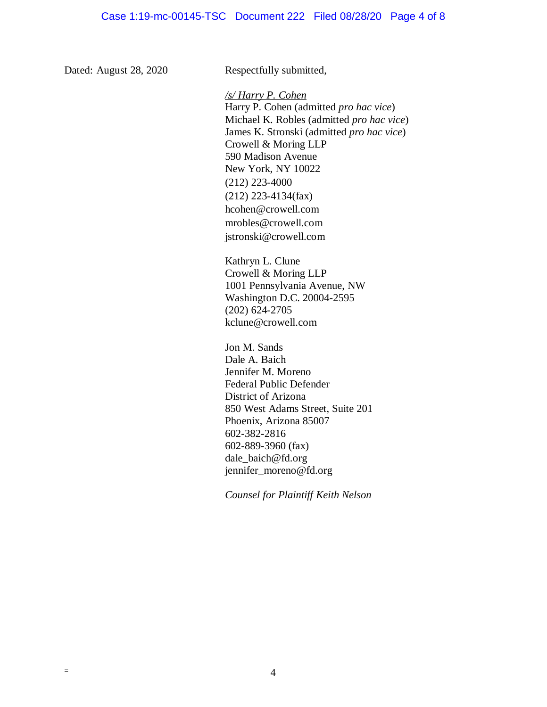Dated: August 28, 2020 Respectfully submitted,

## */s/ Harry P. Cohen*

Harry P. Cohen (admitted *pro hac vice*) Michael K. Robles (admitted *pro hac vice*) James K. Stronski (admitted *pro hac vice*) Crowell & Moring LLP 590 Madison Avenue New York, NY 10022 (212) 223-4000 (212) 223-4134(fax) hcohen@crowell.com mrobles@crowell.com jstronski@crowell.com

Kathryn L. Clune Crowell & Moring LLP 1001 Pennsylvania Avenue, NW Washington D.C. 20004-2595 (202) 624-2705 kclune@crowell.com

Jon M. Sands Dale A. Baich Jennifer M. Moreno Federal Public Defender District of Arizona 850 West Adams Street, Suite 201 Phoenix, Arizona 85007 602-382-2816 602-889-3960 (fax) dale\_baich@fd.org jennifer\_moreno@fd.org

*Counsel for Plaintiff Keith Nelson*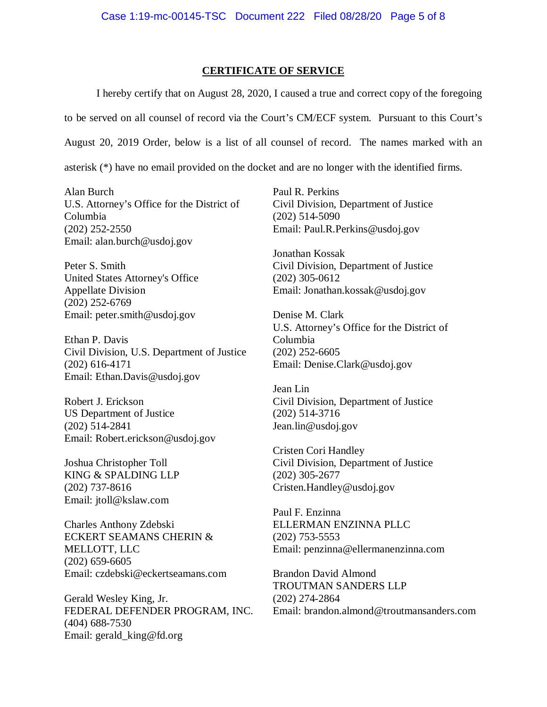### **CERTIFICATE OF SERVICE**

I hereby certify that on August 28, 2020, I caused a true and correct copy of the foregoing

to be served on all counsel of record via the Court's CM/ECF system. Pursuant to this Court's

August 20, 2019 Order, below is a list of all counsel of record. The names marked with an

asterisk (\*) have no email provided on the docket and are no longer with the identified firms.

Alan Burch U.S. Attorney's Office for the District of Columbia (202) 252-2550 Email: alan.burch@usdoj.gov

Peter S. Smith United States Attorney's Office Appellate Division (202) 252-6769 Email: peter.smith@usdoj.gov

Ethan P. Davis Civil Division, U.S. Department of Justice (202) 616-4171 Email: Ethan.Davis@usdoj.gov

Robert J. Erickson US Department of Justice (202) 514-2841 Email: Robert.erickson@usdoj.gov

Joshua Christopher Toll KING & SPALDING LLP (202) 737-8616 Email: jtoll@kslaw.com

Charles Anthony Zdebski ECKERT SEAMANS CHERIN & MELLOTT, LLC (202) 659-6605 Email: czdebski@eckertseamans.com

Gerald Wesley King, Jr. FEDERAL DEFENDER PROGRAM, INC. (404) 688-7530 Email: gerald\_king@fd.org

Paul R. Perkins Civil Division, Department of Justice (202) 514-5090 Email: Paul.R.Perkins@usdoj.gov

Jonathan Kossak Civil Division, Department of Justice (202) 305-0612 Email: Jonathan.kossak@usdoj.gov

Denise M. Clark U.S. Attorney's Office for the District of Columbia (202) 252-6605 Email: Denise.Clark@usdoj.gov

Jean Lin Civil Division, Department of Justice (202) 514-3716 Jean.lin@usdoj.gov

Cristen Cori Handley Civil Division, Department of Justice (202) 305-2677 Cristen.Handley@usdoj.gov

Paul F. Enzinna ELLERMAN ENZINNA PLLC (202) 753-5553 Email: penzinna@ellermanenzinna.com

Brandon David Almond TROUTMAN SANDERS LLP (202) 274-2864 Email: brandon.almond@troutmansanders.com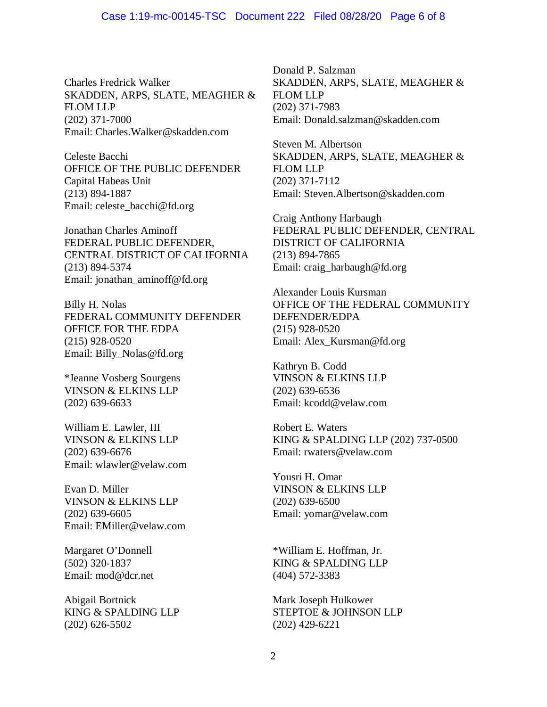Charles Fredrick Walker SKADDEN, ARPS, SLATE, MEAGHER & FLOM LLP (202) 371-7000 Email: Charles.Walker@skadden.com

Celeste Bacchi OFFICE OF THE PUBLIC DEFENDER Capital Habeas Unit (213) 894-1887 Email: celeste\_bacchi@fd.org

Jonathan Charles Aminoff FEDERAL PUBLIC DEFENDER, CENTRAL DISTRICT OF CALIFORNIA (213) 894-5374 Email: jonathan\_aminoff@fd.org

Billy H. Nolas FEDERAL COMMUNITY DEFENDER OFFICE FOR THE EDPA (215) 928-0520 Email: Billy\_Nolas@fd.org

\*Jeanne Vosberg Sourgens VINSON & ELKINS LLP (202) 639-6633

William E. Lawler, III VINSON & ELKINS LLP (202) 639-6676 Email: wlawler@velaw.com

Evan D. Miller VINSON & ELKINS LLP (202) 639-6605 Email: EMiller@velaw.com

Margaret O'Donnell (502) 320-1837 Email: mod@dcr.net

Abigail Bortnick KING & SPALDING LLP (202) 626-5502

Donald P. Salzman SKADDEN, ARPS, SLATE, MEAGHER & FLOM LLP (202) 371-7983 Email: Donald.salzman@skadden.com

Steven M. Albertson SKADDEN, ARPS, SLATE, MEAGHER & FLOM LLP (202) 371-7112 Email: Steven.Albertson@skadden.com

Craig Anthony Harbaugh FEDERAL PUBLIC DEFENDER, CENTRAL DISTRICT OF CALIFORNIA (213) 894-7865 Email: craig\_harbaugh@fd.org

Alexander Louis Kursman OFFICE OF THE FEDERAL COMMUNITY DEFENDER/EDPA (215) 928-0520 Email: Alex\_Kursman@fd.org

Kathryn B. Codd VINSON & ELKINS LLP (202) 639-6536 Email: kcodd@velaw.com

Robert E. Waters KING & SPALDING LLP (202) 737-0500 Email: rwaters@velaw.com

Yousri H. Omar VINSON & ELKINS LLP (202) 639-6500 Email: yomar@velaw.com

\*William E. Hoffman, Jr. KING & SPALDING LLP (404) 572-3383

Mark Joseph Hulkower STEPTOE & JOHNSON LLP (202) 429-6221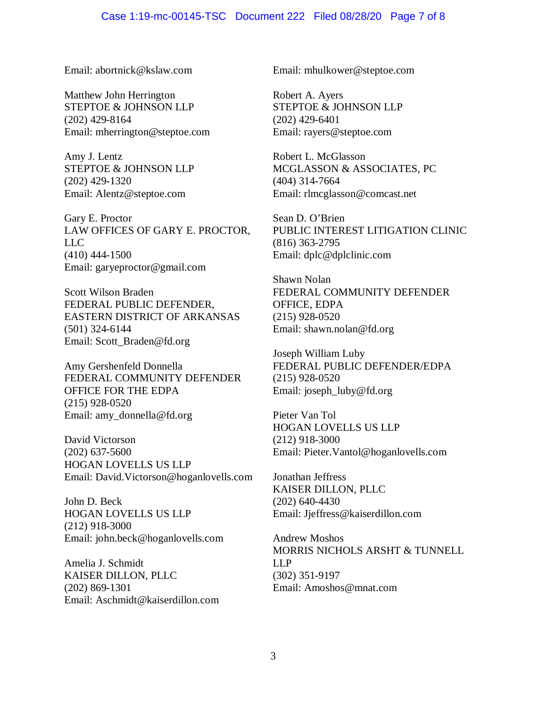Email: abortnick@kslaw.com

Matthew John Herrington STEPTOE & JOHNSON LLP (202) 429-8164 Email: mherrington@steptoe.com

Amy J. Lentz STEPTOE & JOHNSON LLP (202) 429-1320 Email: Alentz@steptoe.com

Gary E. Proctor LAW OFFICES OF GARY E. PROCTOR, LLC (410) 444-1500 Email: garyeproctor@gmail.com

Scott Wilson Braden FEDERAL PUBLIC DEFENDER, EASTERN DISTRICT OF ARKANSAS (501) 324-6144 Email: Scott\_Braden@fd.org

Amy Gershenfeld Donnella FEDERAL COMMUNITY DEFENDER OFFICE FOR THE EDPA (215) 928-0520 Email: amy\_donnella@fd.org

David Victorson (202) 637-5600 HOGAN LOVELLS US LLP Email: David.Victorson@hoganlovells.com

John D. Beck HOGAN LOVELLS US LLP (212) 918-3000 Email: john.beck@hoganlovells.com

Amelia J. Schmidt KAISER DILLON, PLLC (202) 869-1301 Email: Aschmidt@kaiserdillon.com Email: mhulkower@steptoe.com

Robert A. Ayers STEPTOE & JOHNSON LLP (202) 429-6401 Email: rayers@steptoe.com

Robert L. McGlasson MCGLASSON & ASSOCIATES, PC (404) 314-7664 Email: rlmcglasson@comcast.net

Sean D. O'Brien PUBLIC INTEREST LITIGATION CLINIC (816) 363-2795 Email: dplc@dplclinic.com

Shawn Nolan FEDERAL COMMUNITY DEFENDER OFFICE, EDPA (215) 928-0520 Email: shawn.nolan@fd.org

Joseph William Luby FEDERAL PUBLIC DEFENDER/EDPA (215) 928-0520 Email: joseph\_luby@fd.org

Pieter Van Tol HOGAN LOVELLS US LLP (212) 918-3000 Email: Pieter.Vantol@hoganlovells.com

Jonathan Jeffress KAISER DILLON, PLLC (202) 640-4430 Email: Jjeffress@kaiserdillon.com

Andrew Moshos MORRIS NICHOLS ARSHT & TUNNELL LLP (302) 351-9197 Email: Amoshos@mnat.com